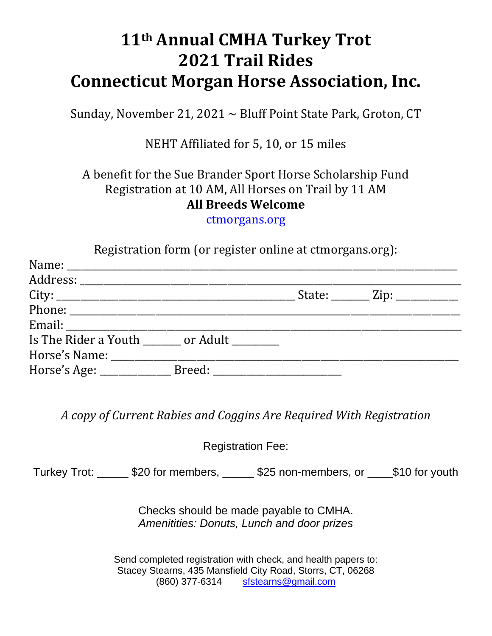## **11th Annual CMHA Turkey Trot 2021 Trail Rides Connecticut Morgan Horse Association, Inc.**

Sunday, November 21, 2021  $\sim$  Bluff Point State Park, Groton, CT

NEHT Affiliated for 5, 10, or 15 miles

A benefit for the Sue Brander Sport Horse Scholarship Fund Registration at 10 AM, All Horses on Trail by 11 AM **All Breeds Welcome**

ctmorgans.org 

| Registration form (or register online at ctmorgans.org): |  |  |  |                                                                                                                                                                                                                                                                                                           |
|----------------------------------------------------------|--|--|--|-----------------------------------------------------------------------------------------------------------------------------------------------------------------------------------------------------------------------------------------------------------------------------------------------------------|
|                                                          |  |  |  |                                                                                                                                                                                                                                                                                                           |
|                                                          |  |  |  |                                                                                                                                                                                                                                                                                                           |
|                                                          |  |  |  | $\sqrt{2}$ State: $\sqrt{2}$ Zip: $\sqrt{2}$ $\sqrt{2}$ $\sqrt{2}$ $\sqrt{2}$ $\sqrt{2}$ $\sqrt{2}$ $\sqrt{2}$ $\sqrt{2}$ $\sqrt{2}$ $\sqrt{2}$ $\sqrt{2}$ $\sqrt{2}$ $\sqrt{2}$ $\sqrt{2}$ $\sqrt{2}$ $\sqrt{2}$ $\sqrt{2}$ $\sqrt{2}$ $\sqrt{2}$ $\sqrt{2}$ $\sqrt{2}$ $\sqrt{2}$ $\sqrt{2}$ $\sqrt{2}$ |
|                                                          |  |  |  |                                                                                                                                                                                                                                                                                                           |
|                                                          |  |  |  |                                                                                                                                                                                                                                                                                                           |
| Is The Rider a Youth _______ or Adult ________           |  |  |  |                                                                                                                                                                                                                                                                                                           |
|                                                          |  |  |  |                                                                                                                                                                                                                                                                                                           |
|                                                          |  |  |  |                                                                                                                                                                                                                                                                                                           |

*A copy of Current Rabies and Coggins Are Required With Registration*

Registration Fee:

Turkey Trot: \_\_\_\_\_ \$20 for members, \_\_\_\_\_ \$25 non-members, or \_\_\_\_\$10 for youth

Checks should be made payable to CMHA. *Amenitities: Donuts, Lunch and door prizes* 

Send completed registration with check, and health papers to: Stacey Stearns, 435 Mansfield City Road, Storrs, CT, 06268 (860) 377-6314 sfstearns@gmail.com